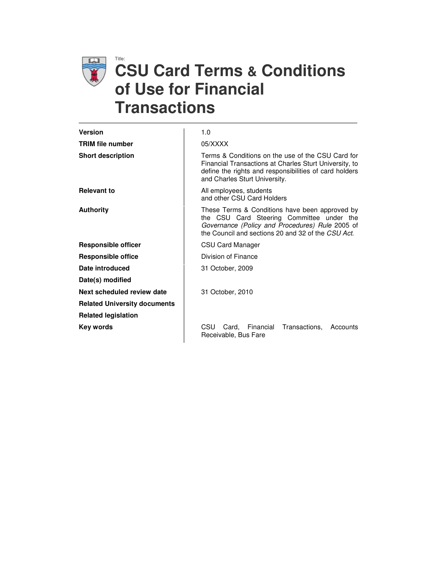

# Title: **CSU Card Terms & Conditions of Use for Financial Transactions**

| <b>Version</b>                      | 1.0                                                                                                                                                                                                    |
|-------------------------------------|--------------------------------------------------------------------------------------------------------------------------------------------------------------------------------------------------------|
| <b>TRIM file number</b>             | 05/XXXX                                                                                                                                                                                                |
| <b>Short description</b>            | Terms & Conditions on the use of the CSU Card for<br>Financial Transactions at Charles Sturt University, to<br>define the rights and responsibilities of card holders<br>and Charles Sturt University. |
| <b>Relevant to</b>                  | All employees, students<br>and other CSU Card Holders                                                                                                                                                  |
| <b>Authority</b>                    | These Terms & Conditions have been approved by<br>the CSU Card Steering Committee under the<br>Governance (Policy and Procedures) Rule 2005 of<br>the Council and sections 20 and 32 of the CSU Act.   |
| <b>Responsible officer</b>          | CSU Card Manager                                                                                                                                                                                       |
| <b>Responsible office</b>           | Division of Finance                                                                                                                                                                                    |
| Date introduced                     | 31 October, 2009                                                                                                                                                                                       |
| Date(s) modified                    |                                                                                                                                                                                                        |
| Next scheduled review date          | 31 October, 2010                                                                                                                                                                                       |
| <b>Related University documents</b> |                                                                                                                                                                                                        |
| <b>Related legislation</b>          |                                                                                                                                                                                                        |
| Key words                           | Transactions,<br>CSU<br>Financial<br>Card.<br>Accounts<br>Receivable, Bus Fare                                                                                                                         |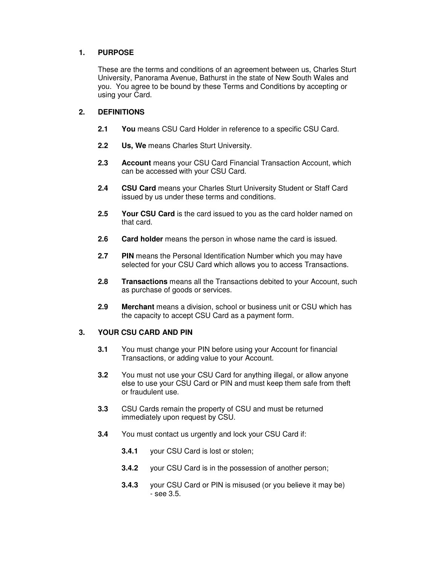#### **1. PURPOSE**

These are the terms and conditions of an agreement between us, Charles Sturt University, Panorama Avenue, Bathurst in the state of New South Wales and you. You agree to be bound by these Terms and Conditions by accepting or using your Card.

## **2. DEFINITIONS**

- **2.1 You** means CSU Card Holder in reference to a specific CSU Card.
- **2.2 Us, We** means Charles Sturt University.
- **2.3 Account** means your CSU Card Financial Transaction Account, which can be accessed with your CSU Card.
- **2.4 CSU Card** means your Charles Sturt University Student or Staff Card issued by us under these terms and conditions.
- **2.5 Your CSU Card** is the card issued to you as the card holder named on that card.
- **2.6 Card holder** means the person in whose name the card is issued.
- **2.7 PIN** means the Personal Identification Number which you may have selected for your CSU Card which allows you to access Transactions.
- **2.8 Transactions** means all the Transactions debited to your Account, such as purchase of goods or services.
- **2.9 Merchant** means a division, school or business unit or CSU which has the capacity to accept CSU Card as a payment form.

#### **3. YOUR CSU CARD AND PIN**

- **3.1** You must change your PIN before using your Account for financial Transactions, or adding value to your Account.
- **3.2** You must not use your CSU Card for anything illegal, or allow anyone else to use your CSU Card or PIN and must keep them safe from theft or fraudulent use.
- **3.3** CSU Cards remain the property of CSU and must be returned immediately upon request by CSU.
- **3.4** You must contact us urgently and lock your CSU Card if:
	- **3.4.1** your CSU Card is lost or stolen;
	- **3.4.2** your CSU Card is in the possession of another person;
	- **3.4.3** your CSU Card or PIN is misused (or you believe it may be) - see 3.5.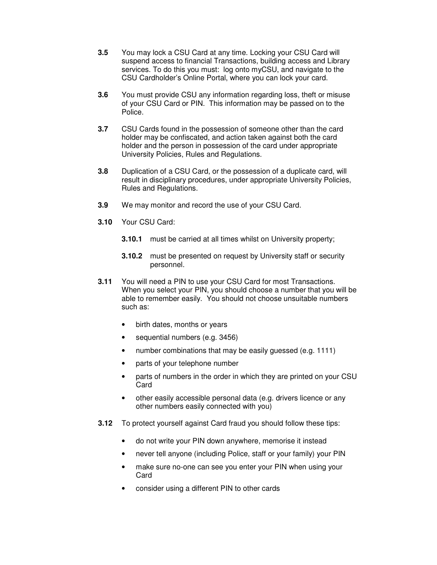- **3.5** You may lock a CSU Card at any time. Locking your CSU Card will suspend access to financial Transactions, building access and Library services. To do this you must: log onto myCSU, and navigate to the CSU Cardholder's Online Portal, where you can lock your card.
- **3.6** You must provide CSU any information regarding loss, theft or misuse of your CSU Card or PIN. This information may be passed on to the Police.
- **3.7** CSU Cards found in the possession of someone other than the card holder may be confiscated, and action taken against both the card holder and the person in possession of the card under appropriate University Policies, Rules and Regulations.
- **3.8** Duplication of a CSU Card, or the possession of a duplicate card, will result in disciplinary procedures, under appropriate University Policies, Rules and Regulations.
- **3.9** We may monitor and record the use of your CSU Card.
- **3.10** Your CSU Card:
	- **3.10.1** must be carried at all times whilst on University property;
	- **3.10.2** must be presented on request by University staff or security personnel.
- **3.11** You will need a PIN to use your CSU Card for most Transactions. When you select your PIN, you should choose a number that you will be able to remember easily. You should not choose unsuitable numbers such as:
	- birth dates, months or years
	- sequential numbers (e.g. 3456)
	- number combinations that may be easily guessed (e.g. 1111)
	- parts of your telephone number
	- parts of numbers in the order in which they are printed on your CSU Card
	- other easily accessible personal data (e.g. drivers licence or any other numbers easily connected with you)
- **3.12** To protect yourself against Card fraud you should follow these tips:
	- do not write your PIN down anywhere, memorise it instead
	- never tell anyone (including Police, staff or your family) your PIN
	- make sure no-one can see you enter your PIN when using your Card
	- consider using a different PIN to other cards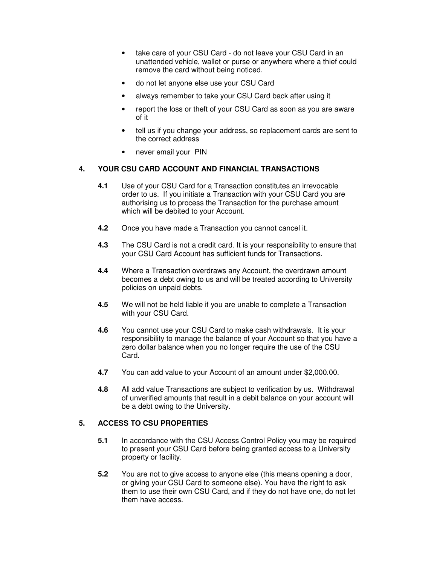- take care of your CSU Card do not leave your CSU Card in an unattended vehicle, wallet or purse or anywhere where a thief could remove the card without being noticed.
- do not let anyone else use your CSU Card
- always remember to take your CSU Card back after using it
- report the loss or theft of your CSU Card as soon as you are aware of it
- tell us if you change your address, so replacement cards are sent to the correct address
- never email your PIN

## **4. YOUR CSU CARD ACCOUNT AND FINANCIAL TRANSACTIONS**

- **4.1** Use of your CSU Card for a Transaction constitutes an irrevocable order to us. If you initiate a Transaction with your CSU Card you are authorising us to process the Transaction for the purchase amount which will be debited to your Account.
- **4.2** Once you have made a Transaction you cannot cancel it.
- **4.3** The CSU Card is not a credit card. It is your responsibility to ensure that your CSU Card Account has sufficient funds for Transactions.
- **4.4** Where a Transaction overdraws any Account, the overdrawn amount becomes a debt owing to us and will be treated according to University policies on unpaid debts.
- **4.5** We will not be held liable if you are unable to complete a Transaction with your CSU Card.
- **4.6** You cannot use your CSU Card to make cash withdrawals. It is your responsibility to manage the balance of your Account so that you have a zero dollar balance when you no longer require the use of the CSU Card.
- **4.7** You can add value to your Account of an amount under \$2,000.00.
- **4.8** All add value Transactions are subject to verification by us. Withdrawal of unverified amounts that result in a debit balance on your account will be a debt owing to the University.

#### **5. ACCESS TO CSU PROPERTIES**

- **5.1** In accordance with the CSU Access Control Policy you may be required to present your CSU Card before being granted access to a University property or facility.
- **5.2** You are not to give access to anyone else (this means opening a door, or giving your CSU Card to someone else). You have the right to ask them to use their own CSU Card, and if they do not have one, do not let them have access.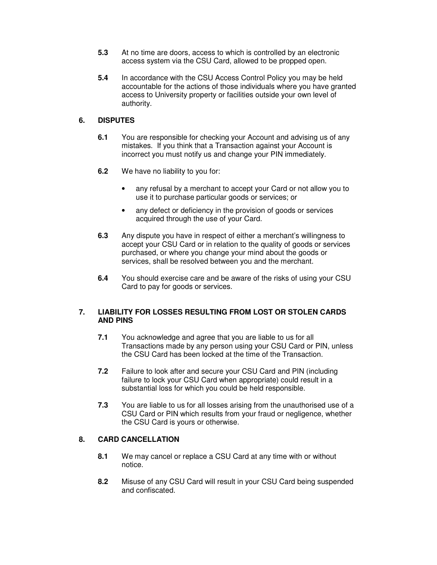- **5.3** At no time are doors, access to which is controlled by an electronic access system via the CSU Card, allowed to be propped open.
- **5.4** In accordance with the CSU Access Control Policy you may be held accountable for the actions of those individuals where you have granted access to University property or facilities outside your own level of authority.

#### **6. DISPUTES**

- **6.1** You are responsible for checking your Account and advising us of any mistakes. If you think that a Transaction against your Account is incorrect you must notify us and change your PIN immediately.
- **6.2** We have no liability to you for:
	- any refusal by a merchant to accept your Card or not allow you to use it to purchase particular goods or services; or
	- any defect or deficiency in the provision of goods or services acquired through the use of your Card.
- **6.3** Any dispute you have in respect of either a merchant's willingness to accept your CSU Card or in relation to the quality of goods or services purchased, or where you change your mind about the goods or services, shall be resolved between you and the merchant.
- **6.4** You should exercise care and be aware of the risks of using your CSU Card to pay for goods or services.

#### **7. LIABILITY FOR LOSSES RESULTING FROM LOST OR STOLEN CARDS AND PINS**

- **7.1** You acknowledge and agree that you are liable to us for all Transactions made by any person using your CSU Card or PIN, unless the CSU Card has been locked at the time of the Transaction.
- **7.2** Failure to look after and secure your CSU Card and PIN (including failure to lock your CSU Card when appropriate) could result in a substantial loss for which you could be held responsible.
- **7.3** You are liable to us for all losses arising from the unauthorised use of a CSU Card or PIN which results from your fraud or negligence, whether the CSU Card is yours or otherwise.

#### **8. CARD CANCELLATION**

- **8.1** We may cancel or replace a CSU Card at any time with or without notice.
- **8.2** Misuse of any CSU Card will result in your CSU Card being suspended and confiscated.